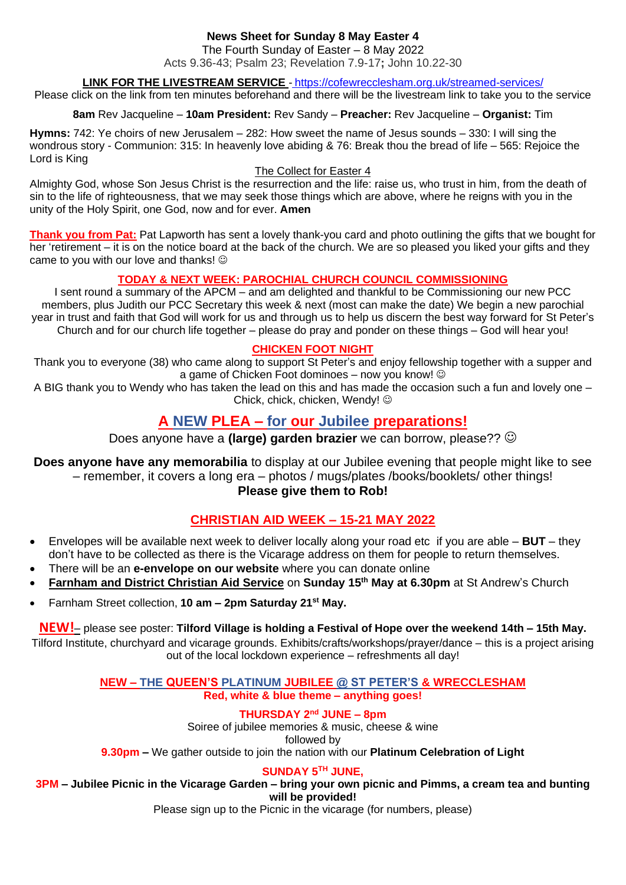# **News Sheet for Sunday 8 May Easter 4**

The Fourth Sunday of Easter – 8 May 2022

Acts 9.36-43; Psalm 23; Revelation 7.9-17**;** John 10.22-30

## **LINK FOR THE LIVESTREAM SERVICE** - <https://cofewrecclesham.org.uk/streamed-services/>

Please click on the link from ten minutes beforehand and there will be the livestream link to take you to the service

**8am** Rev Jacqueline – **10am President:** Rev Sandy – **Preacher:** Rev Jacqueline – **Organist:** Tim

**Hymns:** 742: Ye choirs of new Jerusalem – 282: How sweet the name of Jesus sounds – 330: I will sing the wondrous story - Communion: 315: In heavenly love abiding & 76: Break thou the bread of life – 565: Rejoice the Lord is King

#### The Collect for Easter 4

Almighty God, whose Son Jesus Christ is the resurrection and the life: raise us, who trust in him, from the death of sin to the life of righteousness, that we may seek those things which are above, where he reigns with you in the unity of the Holy Spirit, one God, now and for ever. **Amen**

**Thank you from Pat:** Pat Lapworth has sent a lovely thank-you card and photo outlining the gifts that we bought for her 'retirement – it is on the notice board at the back of the church. We are so pleased you liked your gifts and they came to you with our love and thanks!  $\odot$ 

## **TODAY & NEXT WEEK: PAROCHIAL CHURCH COUNCIL COMMISSIONING**

I sent round a summary of the APCM – and am delighted and thankful to be Commissioning our new PCC members, plus Judith our PCC Secretary this week & next (most can make the date) We begin a new parochial year in trust and faith that God will work for us and through us to help us discern the best way forward for St Peter's Church and for our church life together – please do pray and ponder on these things – God will hear you!

#### **CHICKEN FOOT NIGHT**

Thank you to everyone (38) who came along to support St Peter's and enjoy fellowship together with a supper and a game of Chicken Foot dominoes – now you know! ©

A BIG thank you to Wendy who has taken the lead on this and has made the occasion such a fun and lovely one – Chick, chick, chicken, Wendy!  $\odot$ 

# **A NEW PLEA – for our Jubilee preparations!**

Does anyone have a **(large) garden brazier** we can borrow, please?? ☺

**Does anyone have any memorabilia** to display at our Jubilee evening that people might like to see – remember, it covers a long era – photos / mugs/plates /books/booklets/ other things!

**Please give them to Rob!**

# **CHRISTIAN AID WEEK – 15-21 MAY 2022**

- Envelopes will be available next week to deliver locally along your road etc if you are able **BUT** they don't have to be collected as there is the Vicarage address on them for people to return themselves.
- There will be an **e-envelope on our website** where you can donate online
- **Farnham and District Christian Aid Service** on **Sunday 15th May at 6.30pm** at St Andrew's Church
- Farnham Street collection, **10 am – 2pm Saturday 21st May.**

**NEW!**– please see poster: **Tilford Village is holding a Festival of Hope over the weekend 14th – 15th May.**

Tilford Institute, churchyard and vicarage grounds. Exhibits/crafts/workshops/prayer/dance – this is a project arising out of the local lockdown experience – refreshments all day!

> **NEW – THE QUEEN'S PLATINUM JUBILEE @ ST PETER'S & WRECCLESHAM Red, white & blue theme – anything goes!**

> > **THURSDAY 2nd JUNE – 8pm**

Soiree of jubilee memories & music, cheese & wine

followed by **9.30pm –** We gather outside to join the nation with our **Platinum Celebration of Light** 

**SUNDAY 5TH JUNE,** 

**3PM – Jubilee Picnic in the Vicarage Garden – bring your own picnic and Pimms, a cream tea and bunting will be provided!**

Please sign up to the Picnic in the vicarage (for numbers, please)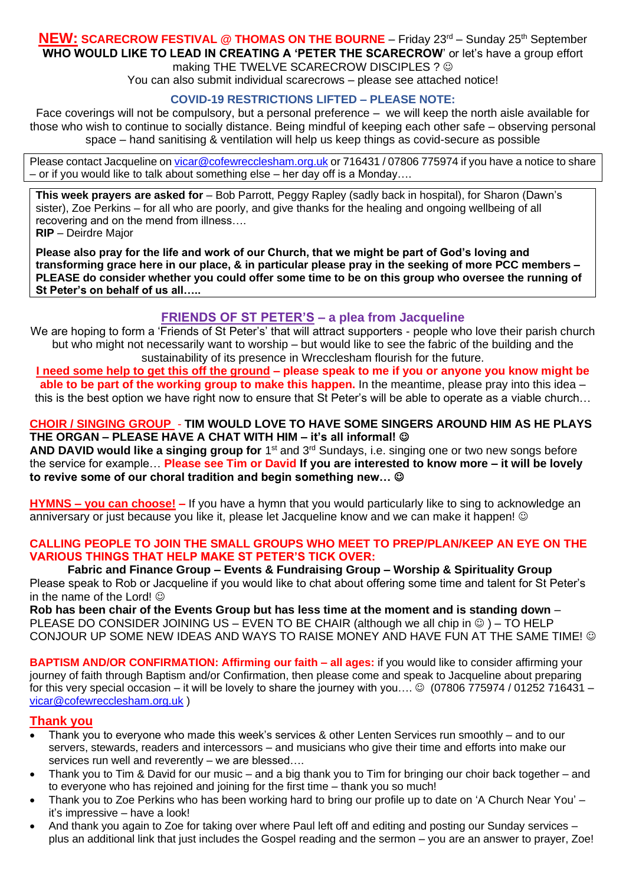#### **NEW: SCARECROW FESTIVAL @ THOMAS ON THE BOURNE** – Friday 23<sup>rd</sup> – Sunday 25<sup>th</sup> September **WHO WOULD LIKE TO LEAD IN CREATING A 'PETER THE SCARECROW**' or let's have a group effort making THE TWELVE SCARECROW DISCIPLES ? ©

You can also submit individual scarecrows – please see attached notice!

## **COVID-19 RESTRICTIONS LIFTED – PLEASE NOTE:**

Face coverings will not be compulsory, but a personal preference – we will keep the north aisle available for those who wish to continue to socially distance. Being mindful of keeping each other safe – observing personal space – hand sanitising & ventilation will help us keep things as covid-secure as possible

Please contact Jacqueline on [vicar@cofewrecclesham.org.uk](mailto:vicar@cofewrecclesham.org.uk) or 716431 / 07806 775974 if you have a notice to share – or if you would like to talk about something else – her day off is a Monday….

**This week prayers are asked for** – Bob Parrott, Peggy Rapley (sadly back in hospital), for Sharon (Dawn's sister), Zoe Perkins – for all who are poorly, and give thanks for the healing and ongoing wellbeing of all recovering and on the mend from illness…. **RIP** – Deirdre Major

**Please also pray for the life and work of our Church, that we might be part of God's loving and transforming grace here in our place, & in particular please pray in the seeking of more PCC members – PLEASE do consider whether you could offer some time to be on this group who oversee the running of St Peter's on behalf of us all…..**

## **FRIENDS OF ST PETER'S – a plea from Jacqueline**

We are hoping to form a 'Friends of St Peter's' that will attract supporters - people who love their parish church but who might not necessarily want to worship – but would like to see the fabric of the building and the sustainability of its presence in Wrecclesham flourish for the future.

**I need some help to get this off the ground – please speak to me if you or anyone you know might be able to be part of the working group to make this happen.** In the meantime, please pray into this idea – this is the best option we have right now to ensure that St Peter's will be able to operate as a viable church…

## **CHOIR / SINGING GROUP** - **TIM WOULD LOVE TO HAVE SOME SINGERS AROUND HIM AS HE PLAYS THE ORGAN – PLEASE HAVE A CHAT WITH HIM – it's all informal!** ☺

AND DAVID would like a singing group for 1<sup>st</sup> and 3<sup>rd</sup> Sundays, i.e. singing one or two new songs before the service for example… **Please see Tim or David If you are interested to know more – it will be lovely to revive some of our choral tradition and begin something new…** ☺

**HYMNS – you can choose! –** If you have a hymn that you would particularly like to sing to acknowledge an anniversary or just because you like it, please let Jacqueline know and we can make it happen! ©

#### **CALLING PEOPLE TO JOIN THE SMALL GROUPS WHO MEET TO PREP/PLAN/KEEP AN EYE ON THE VARIOUS THINGS THAT HELP MAKE ST PETER'S TICK OVER:**

**Fabric and Finance Group – Events & Fundraising Group – Worship & Spirituality Group** Please speak to Rob or Jacqueline if you would like to chat about offering some time and talent for St Peter's in the name of the Lord!  $\odot$ 

**Rob has been chair of the Events Group but has less time at the moment and is standing down** – PLEASE DO CONSIDER JOINING US – EVEN TO BE CHAIR (although we all chip in  $\circledcirc$ ) – TO HELP CONJOUR UP SOME NEW IDEAS AND WAYS TO RAISE MONEY AND HAVE FUN AT THE SAME TIME!  $\odot$ 

**BAPTISM AND/OR CONFIRMATION: Affirming our faith – all ages:** if you would like to consider affirming your journey of faith through Baptism and/or Confirmation, then please come and speak to Jacqueline about preparing for this very special occasion – it will be lovely to share the journey with you….  $\odot$  (07806 775974 / 01252 716431 – [vicar@cofewrecclesham.org.uk](mailto:vicar@cofewrecclesham.org.uk) )

## **Thank you**

- Thank you to everyone who made this week's services & other Lenten Services run smoothly and to our servers, stewards, readers and intercessors – and musicians who give their time and efforts into make our services run well and reverently – we are blessed….
- Thank you to Tim & David for our music and a big thank you to Tim for bringing our choir back together and to everyone who has rejoined and joining for the first time – thank you so much!
- Thank you to Zoe Perkins who has been working hard to bring our profile up to date on 'A Church Near You' it's impressive – have a look!
- And thank you again to Zoe for taking over where Paul left off and editing and posting our Sunday services plus an additional link that just includes the Gospel reading and the sermon – you are an answer to prayer, Zoe!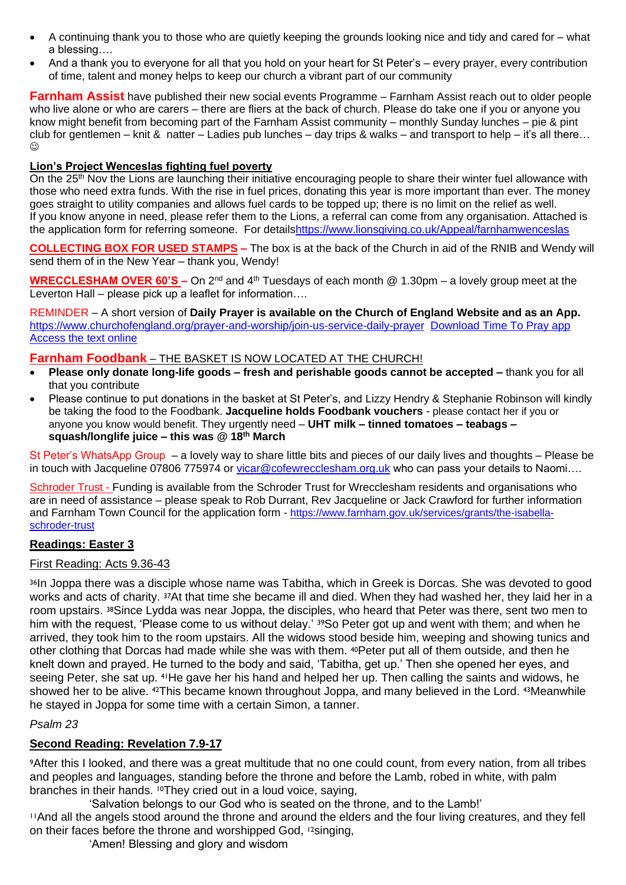- A continuing thank you to those who are quietly keeping the grounds looking nice and tidy and cared for what a blessing….
- And a thank you to everyone for all that you hold on your heart for St Peter's every prayer, every contribution of time, talent and money helps to keep our church a vibrant part of our community

**Farnham Assist** have published their new social events Programme – Farnham Assist reach out to older people who live alone or who are carers – there are fliers at the back of church. Please do take one if you or anyone you know might benefit from becoming part of the Farnham Assist community – monthly Sunday lunches – pie & pint club for gentlemen – knit & natter – Ladies pub lunches – day trips & walks – and transport to help – it's all there...  $\odot$ 

## **Lion's Project Wenceslas fighting fuel poverty**

On the 25<sup>th</sup> Nov the Lions are launching their initiative encouraging people to share their winter fuel allowance with those who need extra funds. With the rise in fuel prices, donating this year is more important than ever. The money goes straight to utility companies and allows fuel cards to be topped up; there is no limit on the relief as well. If you know anyone in need, please refer them to the Lions, a referral can come from any organisation. Attached is the application form for referring someone. For detail[shttps://www.lionsgiving.co.uk/Appeal/farnhamwenceslas](https://www.lionsgiving.co.uk/Appeal/farnhamwenceslas)

**COLLECTING BOX FOR USED STAMPS –** The box is at the back of the Church in aid of the RNIB and Wendy will send them of in the New Year – thank you, Wendy!

**WRECCLESHAM OVER 60'S –** On 2<sup>nd</sup> and 4<sup>th</sup> Tuesdays of each month @ 1.30pm – a lovely group meet at the Leverton Hall – please pick up a leaflet for information….

REMINDER – A short version of **Daily Prayer is available on the Church of England Website and as an App.** <https://www.churchofengland.org/prayer-and-worship/join-us-service-daily-prayer> [Download Time To Pray app](https://www.chpublishing.co.uk/apps/time-to-pray)  [Access the text online](https://www.churchofengland.org/prayer-and-worship/join-us-in-daily-prayer/prayer-during-day-contemporary-Saturday-30-January-2021)

#### **Farnham Foodbank** – THE BASKET IS NOW LOCATED AT THE CHURCH!

- **Please only donate long-life goods – fresh and perishable goods cannot be accepted –** thank you for all that you contribute
- Please continue to put donations in the basket at St Peter's, and Lizzy Hendry & Stephanie Robinson will kindly be taking the food to the Foodbank. **Jacqueline holds Foodbank vouchers** - please contact her if you or anyone you know would benefit. They urgently need – **UHT milk – tinned tomatoes – teabags – squash/longlife juice – this was @ 18 th March**

St Peter's WhatsApp Group – a lovely way to share little bits and pieces of our daily lives and thoughts – Please be in touch with Jacqueline 07806 775974 or [vicar@cofewrecclesham.org.uk](mailto:vicar@cofewrecclesham.org.uk) who can pass your details to Naomi....

Schroder Trust - Funding is available from the Schroder Trust for Wrecclesham residents and organisations who are in need of assistance – please speak to Rob Durrant, Rev Jacqueline or Jack Crawford for further information and Farnham Town Council for the application form - [https://www.farnham.gov.uk/services/grants/the-isabella](https://www.farnham.gov.uk/services/grants/the-isabella-schroder-trust)[schroder-trust](https://www.farnham.gov.uk/services/grants/the-isabella-schroder-trust)

## **Readings: Easter 3**

#### First Reading: Acts 9.36-43

36In Joppa there was a disciple whose name was Tabitha, which in Greek is Dorcas. She was devoted to good works and acts of charity. 37At that time she became ill and died. When they had washed her, they laid her in a room upstairs. 38Since Lydda was near Joppa, the disciples, who heard that Peter was there, sent two men to him with the request, 'Please come to us without delay.' 39So Peter got up and went with them; and when he arrived, they took him to the room upstairs. All the widows stood beside him, weeping and showing tunics and other clothing that Dorcas had made while she was with them. 40Peter put all of them outside, and then he knelt down and prayed. He turned to the body and said, 'Tabitha, get up.' Then she opened her eyes, and seeing Peter, she sat up. 41He gave her his hand and helped her up. Then calling the saints and widows, he showed her to be alive. <sup>42</sup>This became known throughout Joppa, and many believed in the Lord. <sup>43</sup>Meanwhile he stayed in Joppa for some time with a certain Simon, a tanner.

## *Psalm 23*

## **Second Reading: Revelation 7.9-17**

<sup>9</sup>After this I looked, and there was a great multitude that no one could count, from every nation, from all tribes and peoples and languages, standing before the throne and before the Lamb, robed in white, with palm branches in their hands. 10They cried out in a loud voice, saying,

'Salvation belongs to our God who is seated on the throne, and to the Lamb!'

<sup>11</sup>And all the angels stood around the throne and around the elders and the four living creatures, and they fell on their faces before the throne and worshipped God, 12singing,

'Amen! Blessing and glory and wisdom